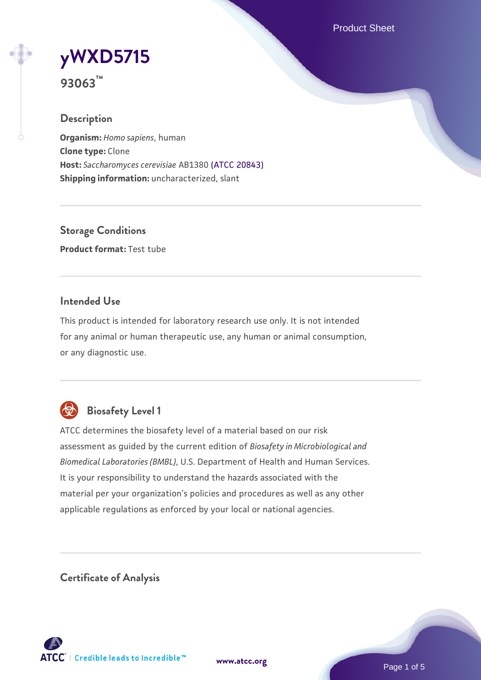Product Sheet

# **[yWXD5715](https://www.atcc.org/products/93063)**

**93063™**

## **Description**

**Organism:** *Homo sapiens*, human **Clone type:** Clone **Host:** *Saccharomyces cerevisiae* AB1380 [\(ATCC 20843\)](https://www.atcc.org/products/20843) **Shipping information:** uncharacterized, slant

**Storage Conditions Product format:** Test tube

## **Intended Use**

This product is intended for laboratory research use only. It is not intended for any animal or human therapeutic use, any human or animal consumption, or any diagnostic use.



## **Biosafety Level 1**

ATCC determines the biosafety level of a material based on our risk assessment as guided by the current edition of *Biosafety in Microbiological and Biomedical Laboratories (BMBL)*, U.S. Department of Health and Human Services. It is your responsibility to understand the hazards associated with the material per your organization's policies and procedures as well as any other applicable regulations as enforced by your local or national agencies.

**Certificate of Analysis**

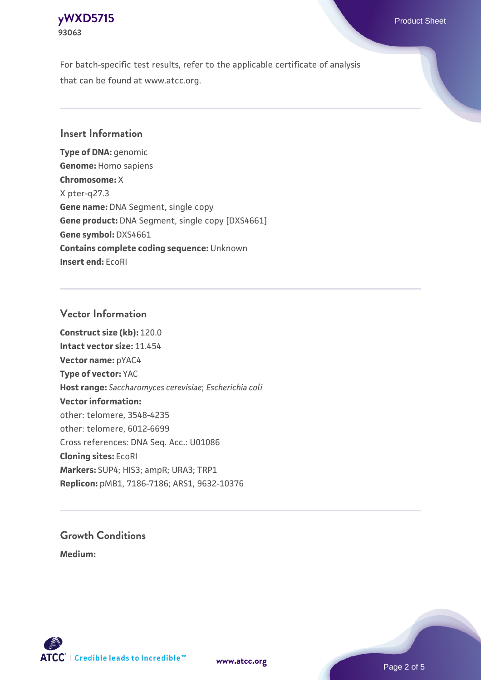## **[yWXD5715](https://www.atcc.org/products/93063)** Product Sheet **93063**

For batch-specific test results, refer to the applicable certificate of analysis that can be found at www.atcc.org.

## **Insert Information**

**Type of DNA:** genomic **Genome:** Homo sapiens **Chromosome:** X X pter-q27.3 **Gene name:** DNA Segment, single copy **Gene product:** DNA Segment, single copy [DXS4661] **Gene symbol:** DXS4661 **Contains complete coding sequence:** Unknown **Insert end:** EcoRI

### **Vector Information**

**Construct size (kb):** 120.0 **Intact vector size:** 11.454 **Vector name:** pYAC4 **Type of vector:** YAC **Host range:** *Saccharomyces cerevisiae*; *Escherichia coli* **Vector information:** other: telomere, 3548-4235 other: telomere, 6012-6699 Cross references: DNA Seq. Acc.: U01086 **Cloning sites:** EcoRI **Markers:** SUP4; HIS3; ampR; URA3; TRP1 **Replicon:** pMB1, 7186-7186; ARS1, 9632-10376

# **Growth Conditions**

**Medium:** 



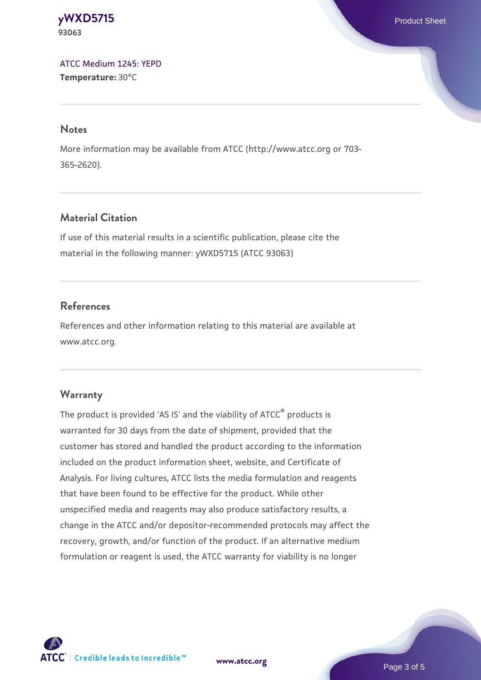#### **[yWXD5715](https://www.atcc.org/products/93063)** Product Sheet **93063**

[ATCC Medium 1245: YEPD](https://www.atcc.org/-/media/product-assets/documents/microbial-media-formulations/1/2/4/5/atcc-medium-1245.pdf?rev=705ca55d1b6f490a808a965d5c072196) **Temperature:** 30°C

#### **Notes**

More information may be available from ATCC (http://www.atcc.org or 703- 365-2620).

## **Material Citation**

If use of this material results in a scientific publication, please cite the material in the following manner: yWXD5715 (ATCC 93063)

## **References**

References and other information relating to this material are available at www.atcc.org.

## **Warranty**

The product is provided 'AS IS' and the viability of ATCC® products is warranted for 30 days from the date of shipment, provided that the customer has stored and handled the product according to the information included on the product information sheet, website, and Certificate of Analysis. For living cultures, ATCC lists the media formulation and reagents that have been found to be effective for the product. While other unspecified media and reagents may also produce satisfactory results, a change in the ATCC and/or depositor-recommended protocols may affect the recovery, growth, and/or function of the product. If an alternative medium formulation or reagent is used, the ATCC warranty for viability is no longer



**[www.atcc.org](http://www.atcc.org)**

Page 3 of 5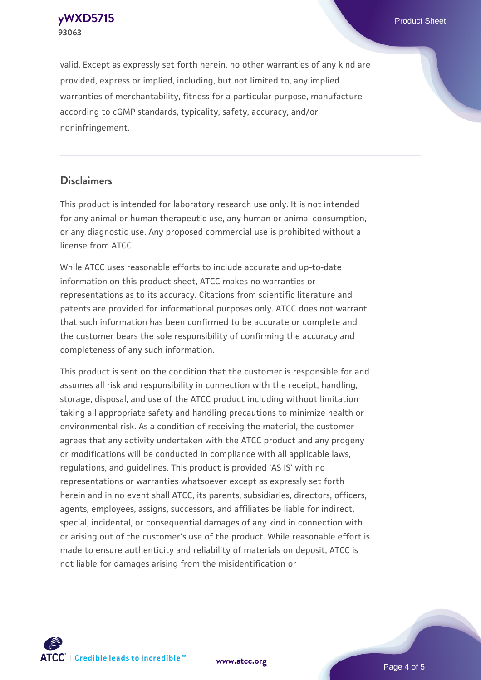**[yWXD5715](https://www.atcc.org/products/93063)** Product Sheet **93063**

valid. Except as expressly set forth herein, no other warranties of any kind are provided, express or implied, including, but not limited to, any implied warranties of merchantability, fitness for a particular purpose, manufacture according to cGMP standards, typicality, safety, accuracy, and/or noninfringement.

#### **Disclaimers**

This product is intended for laboratory research use only. It is not intended for any animal or human therapeutic use, any human or animal consumption, or any diagnostic use. Any proposed commercial use is prohibited without a license from ATCC.

While ATCC uses reasonable efforts to include accurate and up-to-date information on this product sheet, ATCC makes no warranties or representations as to its accuracy. Citations from scientific literature and patents are provided for informational purposes only. ATCC does not warrant that such information has been confirmed to be accurate or complete and the customer bears the sole responsibility of confirming the accuracy and completeness of any such information.

This product is sent on the condition that the customer is responsible for and assumes all risk and responsibility in connection with the receipt, handling, storage, disposal, and use of the ATCC product including without limitation taking all appropriate safety and handling precautions to minimize health or environmental risk. As a condition of receiving the material, the customer agrees that any activity undertaken with the ATCC product and any progeny or modifications will be conducted in compliance with all applicable laws, regulations, and guidelines. This product is provided 'AS IS' with no representations or warranties whatsoever except as expressly set forth herein and in no event shall ATCC, its parents, subsidiaries, directors, officers, agents, employees, assigns, successors, and affiliates be liable for indirect, special, incidental, or consequential damages of any kind in connection with or arising out of the customer's use of the product. While reasonable effort is made to ensure authenticity and reliability of materials on deposit, ATCC is not liable for damages arising from the misidentification or



**[www.atcc.org](http://www.atcc.org)**

Page 4 of 5